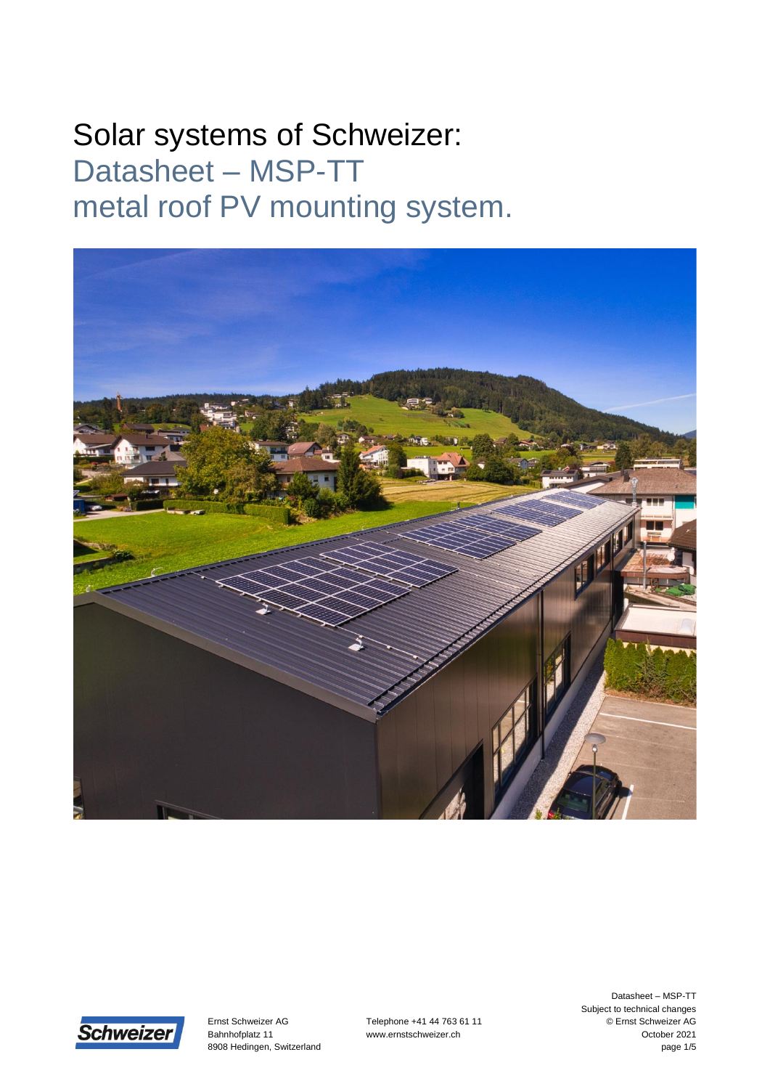## Solar systems of Schweizer: Datasheet – MSP-TT metal roof PV mounting system.





Ernst Schweizer AG Bahnhofplatz 11 8908 Hedingen, Switzerland Telephone +41 44 763 61 11 www.ernstschweizer.ch

Datasheet – MSP-TT Subject to technical changes © Ernst Schweizer AG October 2021 page 1/5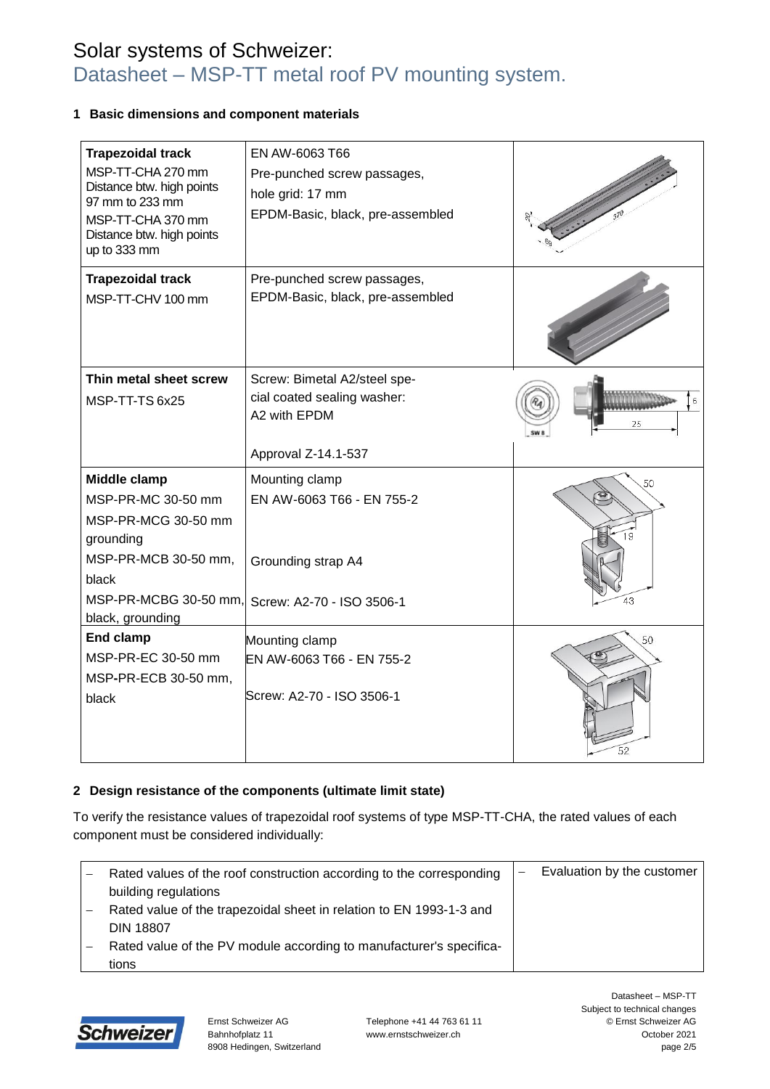## Solar systems of Schweizer: Datasheet – MSP-TT metal roof PV mounting system.

#### **1 Basic dimensions and component materials**

| <b>Trapezoidal track</b><br>MSP-TT-CHA 270 mm<br>Distance btw. high points<br>97 mm to 233 mm<br>MSP-TT-CHA 370 mm<br>Distance btw. high points<br>up to 333 mm | EN AW-6063 T66<br>Pre-punched screw passages,<br>hole grid: 17 mm<br>EPDM-Basic, black, pre-assembled |          |
|-----------------------------------------------------------------------------------------------------------------------------------------------------------------|-------------------------------------------------------------------------------------------------------|----------|
| <b>Trapezoidal track</b><br>MSP-TT-CHV 100 mm                                                                                                                   | Pre-punched screw passages,<br>EPDM-Basic, black, pre-assembled                                       |          |
| Thin metal sheet screw<br>MSP-TT-TS 6x25                                                                                                                        | Screw: Bimetal A2/steel spe-<br>cial coated sealing washer:<br>A2 with EPDM<br>Approval Z-14.1-537    | 6<br>25  |
|                                                                                                                                                                 |                                                                                                       |          |
| Middle clamp<br>MSP-PR-MC 30-50 mm<br>MSP-PR-MCG 30-50 mm<br>grounding<br>MSP-PR-MCB 30-50 mm,<br>black<br>MSP-PR-MCBG 30-50 mm,<br>black, grounding            | Mounting clamp<br>EN AW-6063 T66 - EN 755-2<br>Grounding strap A4<br>Screw: A2-70 - ISO 3506-1        | 50<br>43 |
| <b>End clamp</b>                                                                                                                                                |                                                                                                       |          |
| MSP-PR-EC 30-50 mm<br>MSP-PR-ECB 30-50 mm,<br>black                                                                                                             | Mounting clamp<br>EN AW-6063 T66 - EN 755-2<br>Screw: A2-70 - ISO 3506-1                              | 50<br>52 |

#### **2 Design resistance of the components (ultimate limit state)**

To verify the resistance values of trapezoidal roof systems of type MSP-TT-CHA, the rated values of each component must be considered individually:

|  | Rated values of the roof construction according to the corresponding | - | Evaluation by the customer |
|--|----------------------------------------------------------------------|---|----------------------------|
|  | building regulations                                                 |   |                            |
|  | Rated value of the trapezoidal sheet in relation to EN 1993-1-3 and  |   |                            |
|  | <b>DIN 18807</b>                                                     |   |                            |
|  | Rated value of the PV module according to manufacturer's specifica-  |   |                            |
|  | tions                                                                |   |                            |



Ernst Schweizer AG Bahnhofplatz 11 8908 Hedingen, Switzerland Telephone +41 44 763 61 11 www.ernstschweizer.ch

Datasheet – MSP-TT Subject to technical changes © Ernst Schweizer AG October 2021 page 2/5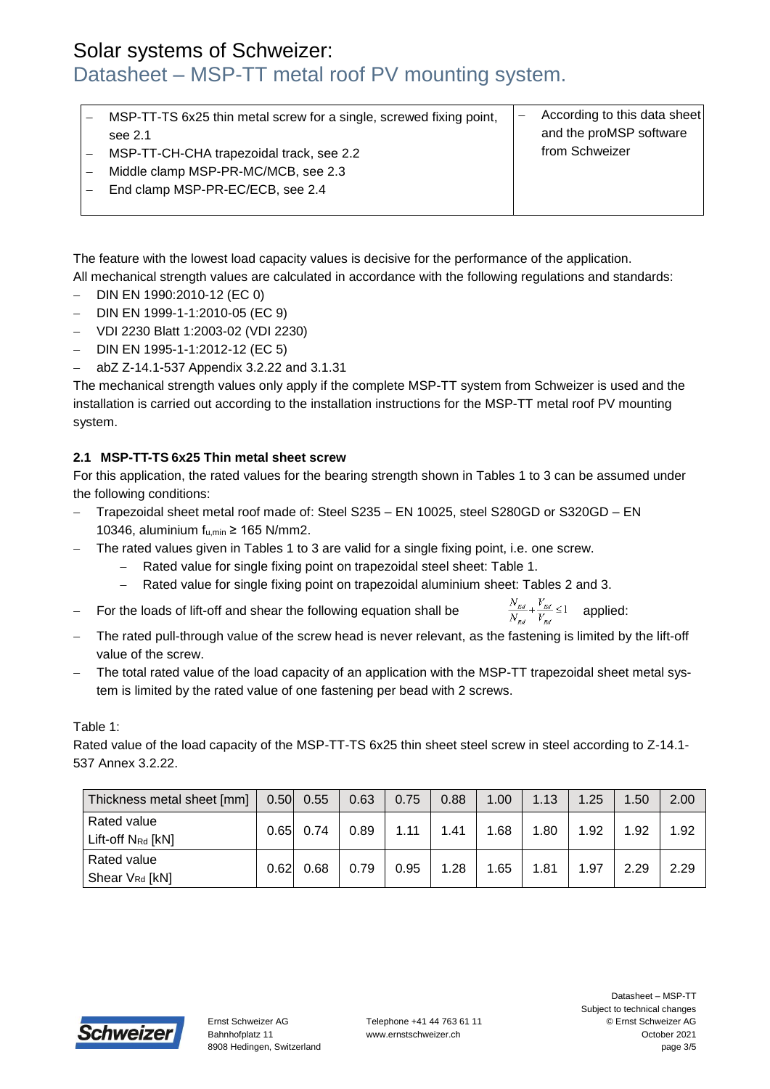## Solar systems of Schweizer:

### Datasheet – MSP-TT metal roof PV mounting system.

- MSP-TT-TS 6x25 thin metal screw for a single, screwed fixing point, see 2.1
- MSP-TT-CH-CHA trapezoidal track, see 2.2
- Middle clamp MSP-PR-MC/MCB, see 2.3
- End clamp MSP-PR-EC/ECB, see 2.4

 According to this data sheet and the proMSP software from Schweizer

The feature with the lowest load capacity values is decisive for the performance of the application. All mechanical strength values are calculated in accordance with the following regulations and standards:

- DIN EN 1990:2010-12 (EC 0)
- $-$  DIN EN 1999-1-1:2010-05 (EC 9)
- VDI 2230 Blatt 1:2003-02 (VDI 2230)
- $-$  DIN EN 1995-1-1:2012-12 (EC 5)
- abZ Z-14.1-537 Appendix 3.2.22 and 3.1.31

The mechanical strength values only apply if the complete MSP-TT system from Schweizer is used and the installation is carried out according to the installation instructions for the MSP-TT metal roof PV mounting system.

#### **2.1 MSP-TT-TS 6x25 Thin metal sheet screw**

For this application, the rated values for the bearing strength shown in Tables 1 to 3 can be assumed under the following conditions:

- Trapezoidal sheet metal roof made of: Steel S235 EN 10025, steel S280GD or S320GD EN 10346, aluminium  $f_{u,min} \ge 165$  N/mm2.
- The rated values given in Tables 1 to 3 are valid for a single fixing point, i.e. one screw.
	- Rated value for single fixing point on trapezoidal steel sheet: Table 1.
	- Rated value for single fixing point on trapezoidal aluminium sheet: Tables 2 and 3.
- For the loads of lift-off and shear the following equation shall be  $\frac{N_{Ed}}{N_{Rd}} + \frac{V_{Ed}}{V_{Rd}} \le 1$  applied:
	-
- The rated pull-through value of the screw head is never relevant, as the fastening is limited by the lift-off value of the screw.
- The total rated value of the load capacity of an application with the MSP-TT trapezoidal sheet metal system is limited by the rated value of one fastening per bead with 2 screws.

Table 1:

Rated value of the load capacity of the MSP-TT-TS 6x25 thin sheet steel screw in steel according to Z-14.1- 537 Annex 3.2.22.

| Thickness metal sheet [mm]                   | 0.50 | 0.55 | 0.63 | 0.75 | 0.88 | 1.00 | 1.13 | 1.25 | 1.50 | 2.00 |
|----------------------------------------------|------|------|------|------|------|------|------|------|------|------|
| Rated value<br>Lift-off N <sub>Rd</sub> [kN] | 0.65 | 0.74 | 0.89 | 1.11 | 1.41 | 1.68 | 1.80 | 1.92 | 1.92 | 1.92 |
| Rated value<br>Shear V <sub>Rd</sub> [kN]    | 0.62 | 0.68 | 0.79 | 0.95 | 1.28 | 1.65 | 1.81 | 1.97 | 2.29 | 2.29 |

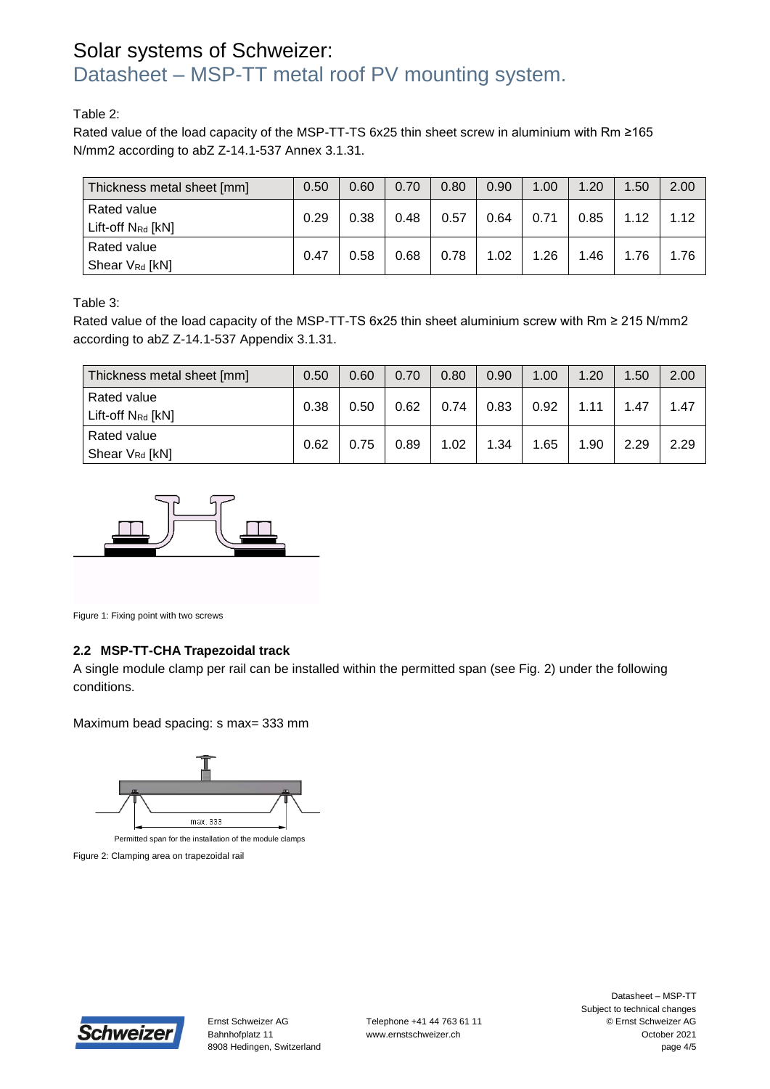## Solar systems of Schweizer:

## Datasheet – MSP-TT metal roof PV mounting system.

#### Table 2:

Rated value of the load capacity of the MSP-TT-TS 6x25 thin sheet screw in aluminium with Rm ≥165 N/mm2 according to abZ Z-14.1-537 Annex 3.1.31.

| Thickness metal sheet [mm]                   | 0.50 | 0.60 | 0.70 | 0.80 | 0.90 | 1.00 | 1.20 | 1.50 | 2.00 |
|----------------------------------------------|------|------|------|------|------|------|------|------|------|
| Rated value<br>Lift-off N <sub>Rd</sub> [kN] | 0.29 | 0.38 | 0.48 | 0.57 | 0.64 | 0.71 | 0.85 | 1.12 | 1.12 |
| Rated value<br>Shear V <sub>Rd</sub> [kN]    | 0.47 | 0.58 | 0.68 | 0.78 | 1.02 | 1.26 | 1.46 | 1.76 | 1.76 |

Table 3:

Rated value of the load capacity of the MSP-TT-TS 6x25 thin sheet aluminium screw with Rm ≥ 215 N/mm2 according to abZ Z-14.1-537 Appendix 3.1.31.

| Thickness metal sheet [mm]                   | 0.50 | 0.60 | 0.70 | 0.80 | 0.90 | 1.00 | 1.20  | 1.50 | 2.00 |
|----------------------------------------------|------|------|------|------|------|------|-------|------|------|
| Rated value<br>Lift-off N <sub>Rd</sub> [kN] | 0.38 | 0.50 | 0.62 | 0.74 | 0.83 | 0.92 | 1 1 1 | 1.47 | 1.47 |
| Rated value<br>Shear V <sub>Rd</sub> [kN]    | 0.62 | 0.75 | 0.89 | 1.02 | 1.34 | 1.65 | 1.90  | 2.29 | 2.29 |



Figure 1: Fixing point with two screws

#### **2.2 MSP-TT-CHA Trapezoidal track**

A single module clamp per rail can be installed within the permitted span (see Fig. 2) under the following conditions.

Maximum bead spacing: s max= 333 mm



Figure 2: Clamping area on trapezoidal rail